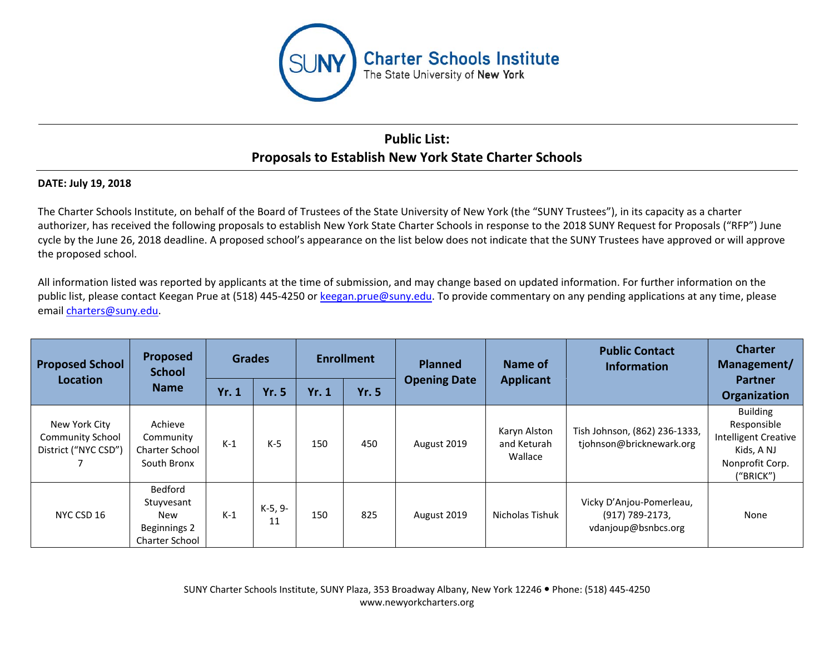

## **Public List: Proposals to Establish New York State Charter Schools**

## **DATE: July 19, 2018**

The Charter Schools Institute, on behalf of the Board of Trustees of the State University of New York (the "SUNY Trustees"), in its capacity as a charter authorizer, has received the following proposals to establish New York State Charter Schools in response to the 2018 SUNY Request for Proposals ("RFP") June cycle by the June 26, 2018 deadline. A proposed school's appearance on the list below does not indicate that the SUNY Trustees have approved or will approve the proposed school.

All information listed was reported by applicants at the time of submission, and may change based on updated information. For further information on the public list, please contact Keegan Prue at (518) 445-4250 or keegan.prue@suny.edu. To provide commentary on any pending applications at any time, please email charters@suny.edu.

| <b>Proposed School</b><br>Location                               | Proposed<br><b>School</b><br><b>Name</b>                              | <b>Grades</b> |               | <b>Enrollment</b> |              | <b>Planned</b>      | Name of                                | <b>Public Contact</b><br><b>Information</b>                        | <b>Charter</b><br>Management/                                                                               |
|------------------------------------------------------------------|-----------------------------------------------------------------------|---------------|---------------|-------------------|--------------|---------------------|----------------------------------------|--------------------------------------------------------------------|-------------------------------------------------------------------------------------------------------------|
|                                                                  |                                                                       | <b>Yr. 1</b>  | <b>Yr. 5</b>  | <b>Yr. 1</b>      | <b>Yr. 5</b> | <b>Opening Date</b> | <b>Applicant</b>                       |                                                                    | <b>Partner</b><br>Organization                                                                              |
| New York City<br><b>Community School</b><br>District ("NYC CSD") | Achieve<br>Community<br><b>Charter School</b><br>South Bronx          | $K-1$         | $K-5$         | 150               | 450          | August 2019         | Karyn Alston<br>and Keturah<br>Wallace | Tish Johnson, (862) 236-1333,<br>tjohnson@bricknewark.org          | <b>Building</b><br>Responsible<br><b>Intelligent Creative</b><br>Kids, A NJ<br>Nonprofit Corp.<br>("BRICK") |
| NYC CSD 16                                                       | Bedford<br>Stuyvesant<br>New<br>Beginnings 2<br><b>Charter School</b> | $K-1$         | K-5, 9-<br>11 | 150               | 825          | August 2019         | Nicholas Tishuk                        | Vicky D'Anjou-Pomerleau,<br>(917) 789-2173,<br>vdanjoup@bsnbcs.org | None                                                                                                        |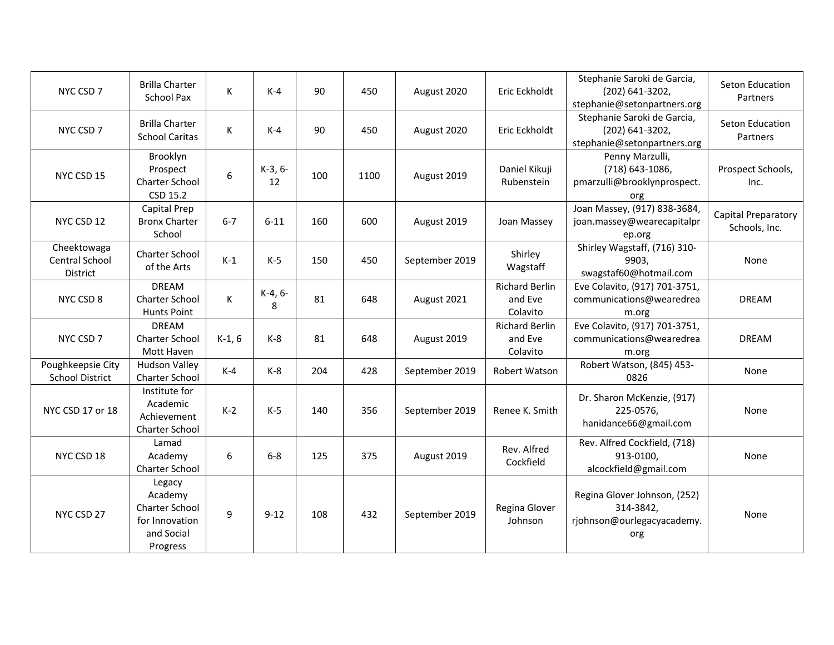| NYC CSD 7                                   | <b>Brilla Charter</b><br>School Pax                                             | К           | $K-4$         | 90  | 450  | August 2020    | Eric Eckholdt                                | Stephanie Saroki de Garcia,<br>(202) 641-3202,<br>stephanie@setonpartners.org  | Seton Education<br>Partners                 |
|---------------------------------------------|---------------------------------------------------------------------------------|-------------|---------------|-----|------|----------------|----------------------------------------------|--------------------------------------------------------------------------------|---------------------------------------------|
| NYC CSD 7                                   | <b>Brilla Charter</b><br><b>School Caritas</b>                                  | K           | $K-4$         | 90  | 450  | August 2020    | Eric Eckholdt                                | Stephanie Saroki de Garcia,<br>(202) 641-3202,<br>stephanie@setonpartners.org  | Seton Education<br>Partners                 |
| NYC CSD 15                                  | Brooklyn<br>Prospect<br>Charter School<br>CSD 15.2                              | 6           | K-3, 6-<br>12 | 100 | 1100 | August 2019    | Daniel Kikuji<br>Rubenstein                  | Penny Marzulli,<br>(718) 643-1086,<br>pmarzulli@brooklynprospect.<br>org       | Prospect Schools,<br>Inc.                   |
| NYC CSD 12                                  | Capital Prep<br><b>Bronx Charter</b><br>School                                  | $6 - 7$     | $6 - 11$      | 160 | 600  | August 2019    | Joan Massey                                  | Joan Massey, (917) 838-3684,<br>joan.massey@wearecapitalpr<br>ep.org           | <b>Capital Preparatory</b><br>Schools, Inc. |
| Cheektowaga<br>Central School<br>District   | <b>Charter School</b><br>of the Arts                                            | $K-1$       | $K-5$         | 150 | 450  | September 2019 | Shirley<br>Wagstaff                          | Shirley Wagstaff, (716) 310-<br>9903.<br>swagstaf60@hotmail.com                | None                                        |
| NYC CSD 8                                   | <b>DREAM</b><br>Charter School<br><b>Hunts Point</b>                            | $\mathsf K$ | K-4, 6-<br>8  | 81  | 648  | August 2021    | <b>Richard Berlin</b><br>and Eve<br>Colavito | Eve Colavito, (917) 701-3751,<br>communications@wearedrea<br>m.org             | <b>DREAM</b>                                |
| NYC CSD 7                                   | <b>DREAM</b><br>Charter School<br>Mott Haven                                    | $K-1, 6$    | $K-8$         | 81  | 648  | August 2019    | <b>Richard Berlin</b><br>and Eve<br>Colavito | Eve Colavito, (917) 701-3751,<br>communications@wearedrea<br>m.org             | <b>DREAM</b>                                |
| Poughkeepsie City<br><b>School District</b> | <b>Hudson Valley</b><br>Charter School                                          | $K-4$       | $K-8$         | 204 | 428  | September 2019 | Robert Watson                                | Robert Watson, (845) 453-<br>0826                                              | None                                        |
| NYC CSD 17 or 18                            | Institute for<br>Academic<br>Achievement<br>Charter School                      | $K-2$       | $K-5$         | 140 | 356  | September 2019 | Renee K. Smith                               | Dr. Sharon McKenzie, (917)<br>225-0576,<br>hanidance66@gmail.com               | None                                        |
| NYC CSD 18                                  | Lamad<br>Academy<br>Charter School                                              | 6           | $6-8$         | 125 | 375  | August 2019    | Rev. Alfred<br>Cockfield                     | Rev. Alfred Cockfield, (718)<br>913-0100,<br>alcockfield@gmail.com             | None                                        |
| NYC CSD 27                                  | Legacy<br>Academy<br>Charter School<br>for Innovation<br>and Social<br>Progress | 9           | $9 - 12$      | 108 | 432  | September 2019 | Regina Glover<br>Johnson                     | Regina Glover Johnson, (252)<br>314-3842,<br>rjohnson@ourlegacyacademy.<br>org | None                                        |